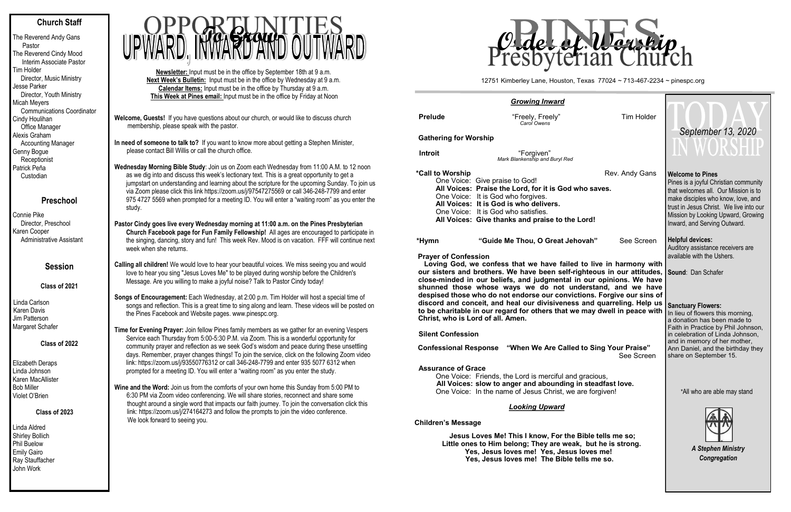# **Church Staff**

The Reverend Andy Gans Pastor The Reverend Cindy Mood Interim Associate Pastor Tim Holder Director, Music Ministry Jesse Parker Director, Youth Ministry Micah Meyers Communications Coordinator Cindy Houlihan Office Manager Alexis Graham Accounting Manager Genny Bogue **Receptionist** Patrick Peña Custodian

# **Preschool**

Connie Pike Director, Preschool Karen Cooper Administrative Assistant

## **Session**

**Class of 2021**

Linda Carlson Karen Davis Jim Patterson Margaret Schafer

### **Class of 2022**

Elizabeth Deraps Linda Johnson Karen MacAllister Bob Miller Violet O'Brien

#### **Class of 2023**

Linda Aldred Shirley Bollich Phil Buelow Emily Gairo Ray Stauffacher John Work

**Welcome, Guests!** If you have questions about our church, or would like to discuss church membership, please speak with the pastor.

**In need of someone to talk to?** If you want to know more about getting a Stephen Minister, please contact Bill Willis or call the church office.

**Wednesday Morning Bible Study**: Join us on Zoom each Wednesday from 11:00 A.M. to 12 noon as we dig into and discuss this week's lectionary text. This is a great opportunity to get a jumpstart on understanding and learning about the scripture for the upcoming Sunday. To join us via Zoom please click this link https://zoom.us/j/97547275569 or call 346-248-7799 and enter 975 4727 5569 when prompted for a meeting ID. You will enter a "waiting room" as you enter the study.

**Pastor Cindy goes live every Wednesday morning at 11:00 a.m. on the Pines Presbyterian Church Facebook page for Fun Family Fellowship!** All ages are encouraged to participate in the singing, dancing, story and fun! This week Rev. Mood is on vacation. FFF will continue next week when she returns.

**Calling all children!** We would love to hear your beautiful voices. We miss seeing you and would love to hear you sing "Jesus Loves Me" to be played during worship before the Children's Message. Are you willing to make a joyful noise? Talk to Pastor Cindy today!

**Songs of Encouragement:** Each Wednesday, at 2:00 p.m. Tim Holder will host a special time of songs and reflection. This is a great time to sing along and learn. These videos will be posted on the Pines Facebook and Website pages. www.pinespc.org.

**Time for Evening Prayer:** Join fellow Pines family members as we gather for an evening Vespers Service each Thursday from 5:00-5:30 P.M. via Zoom. This is a wonderful opportunity for community prayer and reflection as we seek God's wisdom and peace during these unsettling days. Remember, prayer changes things! To join the service, click on the following Zoom video link: https://zoom.us/j/93550776312 or call 346-248-7799 and enter 935 5077 6312 when prompted for a meeting ID. You will enter a "waiting room" as you enter the study.

**Wine and the Word:** Join us from the comforts of your own home this Sunday from 5:00 PM to 6:30 PM via Zoom video conferencing. We will share stories, reconnect and share some thought around a single word that impacts our faith journey. To join the conversation click this link: https://zoom.us/j/274164273 and follow the prompts to join the video conference. We look forward to seeing you.

**Newsletter:** Input must be in the office by September 18th at 9 a.m. **Next Week's Bulletin:** Input must be in the office by Wednesday at 9 a.m. **Calendar Items:** Input must be in the office by Thursday at 9 a.m. **This Week at Pines email:** Input must be in the office by Friday at Noon



#### **Assurance of Grace**

#### $Child$

|                                   | <b>Growing Inward</b>                                                                                                                                                                                                                                                               |                                                                                                        |                                                                                                                                                                                                                                                                 |  |  |
|-----------------------------------|-------------------------------------------------------------------------------------------------------------------------------------------------------------------------------------------------------------------------------------------------------------------------------------|--------------------------------------------------------------------------------------------------------|-----------------------------------------------------------------------------------------------------------------------------------------------------------------------------------------------------------------------------------------------------------------|--|--|
| <b>Prelude</b>                    | "Freely, Freely"<br>Carol Owens                                                                                                                                                                                                                                                     | <b>Tim Holder</b>                                                                                      |                                                                                                                                                                                                                                                                 |  |  |
| <b>Gathering for Worship</b>      |                                                                                                                                                                                                                                                                                     | September 13, 2020                                                                                     |                                                                                                                                                                                                                                                                 |  |  |
| <b>Introit</b>                    | "Forgiven"<br>Mark Blankenship and Buryl Red                                                                                                                                                                                                                                        |                                                                                                        | WUKSHIJ                                                                                                                                                                                                                                                         |  |  |
| *Call to Worship                  | One Voice: Give praise to God!<br>All Voices: Praise the Lord, for it is God who saves.<br>One Voice: It is God who forgives.<br>All Voices: It is God is who delivers.<br>One Voice: It is God who satisfies.<br>All Voices: Give thanks and praise to the Lord!                   | Rev. Andy Gans                                                                                         | <b>Welcome to Pines</b><br>Pines is a joyful Christian community<br>that welcomes all. Our Mission is to<br>make disciples who know, love, and<br>trust in Jesus Christ. We live into our<br>Mission by Looking Upward, Growing<br>Inward, and Serving Outward. |  |  |
| *Hymn                             | "Guide Me Thou, O Great Jehovah"                                                                                                                                                                                                                                                    | See Screen                                                                                             | <b>Helpful devices:</b><br>Auditory assistance receivers are                                                                                                                                                                                                    |  |  |
| <b>Prayer of Confession</b>       | Loving God, we confess that we have failed to live in harmony with<br>our sisters and brothers. We have been self-righteous in our attitudes,<br>close-minded in our beliefs, and judgmental in our opinions. We have<br>shunned those whose ways we do not understand, and we have | available with the Ushers.<br>Sound: Dan Schafer                                                       |                                                                                                                                                                                                                                                                 |  |  |
| Christ, who is Lord of all. Amen. | despised those who do not endorse our convictions. Forgive our sins of<br>discord and conceit, and heal our divisiveness and quarreling. Help us<br>to be charitable in our regard for others that we may dwell in peace with                                                       | <b>Sanctuary Flowers:</b><br>In lieu of flowers this morning,<br>a donation has been made to           |                                                                                                                                                                                                                                                                 |  |  |
| <b>Silent Confession</b>          |                                                                                                                                                                                                                                                                                     | Faith in Practice by Phil Johnson,<br>in celebration of Linda Johnson,<br>and in memory of her mother, |                                                                                                                                                                                                                                                                 |  |  |
| <b>Confessional Response</b>      | "When We Are Called to Sing Your Praise"                                                                                                                                                                                                                                            | Ann Daniel, and the birthday they<br>share on September 15.                                            |                                                                                                                                                                                                                                                                 |  |  |
| <b>Assurance of Grace</b>         | One Voice: Friends, the Lord is merciful and gracious,<br>All Voices: slow to anger and abounding in steadfast love.<br>One Voice: In the name of Jesus Christ, we are forgiven!                                                                                                    | *All who are able may stand                                                                            |                                                                                                                                                                                                                                                                 |  |  |
|                                   | <b>Looking Upward</b>                                                                                                                                                                                                                                                               |                                                                                                        |                                                                                                                                                                                                                                                                 |  |  |
| <b>Children's Message</b>         | Jesus Loves Me! This I know, For the Bible tells me so;<br>Little ones to Him belong; They are weak, but he is strong.<br>Yes, Jesus loves me! Yes, Jesus loves me!<br>Yes, Jesus loves me! The Bible tells me so.                                                                  | <b>A Stephen Ministry</b><br>Congregation                                                              |                                                                                                                                                                                                                                                                 |  |  |
|                                   |                                                                                                                                                                                                                                                                                     |                                                                                                        |                                                                                                                                                                                                                                                                 |  |  |

12751 Kimberley Lane, Houston, Texas 77024 ~ 713-467-2234 ~ pinespc.org